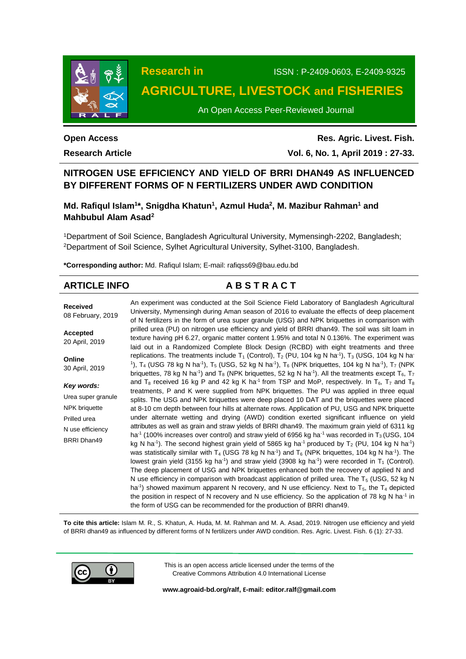

**Research in** ISSN : P-2409-0603, E-2409-9325

# **AGRICULTURE, LIVESTOCK and FISHERIES**

An Open Access Peer-Reviewed Journal

# **Open Access**

**Research Article**

**Res. Agric. Livest. Fish. Vol. 6, No. 1, April 2019 : 27-33.**

# **NITROGEN USE EFFICIENCY AND YIELD OF BRRI DHAN49 AS INFLUENCED BY DIFFERENT FORMS OF N FERTILIZERS UNDER AWD CONDITION**

# **Md. Rafiqul Islam<sup>1</sup> \*, Snigdha Khatun<sup>1</sup> , Azmul Huda<sup>2</sup> , M. Mazibur Rahman<sup>1</sup> and Mahbubul Alam Asad<sup>2</sup>**

<sup>1</sup>Department of Soil Science, Bangladesh Agricultural University, Mymensingh-2202, Bangladesh; <sup>2</sup>Department of Soil Science, Sylhet Agricultural University, Sylhet-3100, Bangladesh.

**\*Corresponding author:** Md. Rafiqul Islam; E-mail[: rafiqss69@bau.edu.bd](mailto:rafiqss69@bau.edu.bd)

| An experiment was conducted at the Soil Science Field Laboratory of Bangladesh Agricultural<br>University, Mymensingh during Aman season of 2016 to evaluate the effects of deep placement<br>of N fertilizers in the form of urea super granule (USG) and NPK briquettes in comparison with                                                                                                                                                                                                                                                                                                                                                                                                                                                                                                                                                                                                                                                                                                                                                                                                                                                                                 |  |  |  |  |
|------------------------------------------------------------------------------------------------------------------------------------------------------------------------------------------------------------------------------------------------------------------------------------------------------------------------------------------------------------------------------------------------------------------------------------------------------------------------------------------------------------------------------------------------------------------------------------------------------------------------------------------------------------------------------------------------------------------------------------------------------------------------------------------------------------------------------------------------------------------------------------------------------------------------------------------------------------------------------------------------------------------------------------------------------------------------------------------------------------------------------------------------------------------------------|--|--|--|--|
| prilled urea (PU) on nitrogen use efficiency and yield of BRRI dhan49. The soil was silt loam in<br>texture having pH 6.27, organic matter content 1.95% and total N 0.136%. The experiment was<br>laid out in a Randomized Complete Block Design (RCBD) with eight treatments and three                                                                                                                                                                                                                                                                                                                                                                                                                                                                                                                                                                                                                                                                                                                                                                                                                                                                                     |  |  |  |  |
| replications. The treatments include $T_1$ (Control), $T_2$ (PU, 104 kg N ha <sup>-1</sup> ), $T_3$ (USG, 104 kg N ha <sup>-</sup><br><sup>1</sup> ), T <sub>4</sub> (USG 78 kg N ha <sup>-1</sup> ), T <sub>5</sub> (USG, 52 kg N ha <sup>-1</sup> ), T <sub>6</sub> (NPK briquettes, 104 kg N ha <sup>-1</sup> ), T <sub>7</sub> (NPK<br>briquettes, 78 kg N ha <sup>-1</sup> ) and T <sub>8</sub> (NPK briquettes, 52 kg N ha <sup>-1</sup> ). All the treatments except T <sub>6</sub> , T <sub>7</sub>                                                                                                                                                                                                                                                                                                                                                                                                                                                                                                                                                                                                                                                                  |  |  |  |  |
| and T <sub>8</sub> received 16 kg P and 42 kg K ha <sup>-1</sup> from TSP and MoP, respectively. In T <sub>6</sub> , T <sub>7</sub> and T <sub>8</sub><br>treatments, P and K were supplied from NPK briquettes. The PU was applied in three equal                                                                                                                                                                                                                                                                                                                                                                                                                                                                                                                                                                                                                                                                                                                                                                                                                                                                                                                           |  |  |  |  |
| splits. The USG and NPK briquettes were deep placed 10 DAT and the briquettes were placed                                                                                                                                                                                                                                                                                                                                                                                                                                                                                                                                                                                                                                                                                                                                                                                                                                                                                                                                                                                                                                                                                    |  |  |  |  |
| at 8-10 cm depth between four hills at alternate rows. Application of PU, USG and NPK briquette                                                                                                                                                                                                                                                                                                                                                                                                                                                                                                                                                                                                                                                                                                                                                                                                                                                                                                                                                                                                                                                                              |  |  |  |  |
| under alternate wetting and drying (AWD) condition exerted significant influence on yield                                                                                                                                                                                                                                                                                                                                                                                                                                                                                                                                                                                                                                                                                                                                                                                                                                                                                                                                                                                                                                                                                    |  |  |  |  |
| attributes as well as grain and straw yields of BRRI dhan49. The maximum grain yield of 6311 kg<br>ha <sup>-1</sup> (100% increases over control) and straw yield of 6956 kg ha <sup>-1</sup> was recorded in $T_3$ (USG, 104<br>kg N ha <sup>-1</sup> ). The second highest grain yield of 5865 kg ha <sup>-1</sup> produced by $T_2$ (PU, 104 kg N ha <sup>-1</sup> )<br>was statistically similar with T <sub>4</sub> (USG 78 kg N ha <sup>-1</sup> ) and T <sub>6</sub> (NPK briquettes, 104 kg N ha <sup>-1</sup> ). The<br>lowest grain yield (3155 kg ha <sup>-1</sup> ) and straw yield (3908 kg ha <sup>-1</sup> ) were recorded in $T_1$ (Control).<br>The deep placement of USG and NPK briquettes enhanced both the recovery of applied N and<br>N use efficiency in comparison with broadcast application of prilled urea. The $T_5$ (USG, 52 kg N<br>ha <sup>-1</sup> ) showed maximum apparent N recovery, and N use efficiency. Next to $T_5$ , the $T_4$ depicted<br>the position in respect of N recovery and N use efficiency. So the application of 78 kg N ha <sup>-1</sup> in<br>the form of USG can be recommended for the production of BRRI dhan49. |  |  |  |  |
|                                                                                                                                                                                                                                                                                                                                                                                                                                                                                                                                                                                                                                                                                                                                                                                                                                                                                                                                                                                                                                                                                                                                                                              |  |  |  |  |

**To cite this article:** Islam M. R., S. Khatun, A. Huda, M. M. Rahman and M. A. Asad, 2019. Nitrogen use efficiency and yield of BRRI dhan49 as influenced by different forms of N fertilizers under AWD condition. Res. Agric. Livest. Fish. 6 (1): 27-33.



This is an open access article licensed under the terms of the Creative Commons Attribution 4.0 International License

**[www.agroaid-bd.org/ralf,](http://www.agroaid-bd.org/ralf) E-mail[: editor.ralf@gmail.com](mailto:editor.ralf@gmail.com)**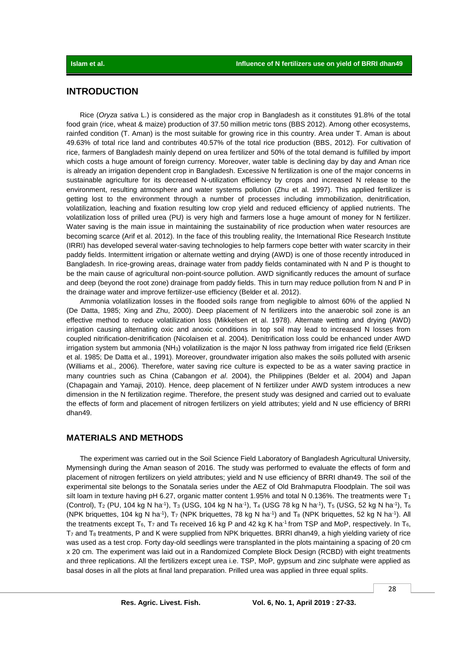# **INTRODUCTION**

Rice (*Oryza sativa* L.) is considered as the major crop in Bangladesh as it constitutes 91.8% of the total food grain (rice, wheat & maize) production of 37.50 million metric tons (BBS 2012). Among other ecosystems, rainfed condition (T. Aman) is the most suitable for growing rice in this country. Area under T. Aman is about 49.63% of total rice land and contributes 40.57% of the total rice production (BBS, 2012). For cultivation of rice, farmers of Bangladesh mainly depend on urea fertilizer and 50% of the total demand is fulfilled by import which costs a huge amount of foreign currency. Moreover, water table is declining day by day and Aman rice is already an irrigation dependent crop in Bangladesh. Excessive N fertilization is one of the major concerns in sustainable agriculture for its decreased N-utilization efficiency by crops and increased N release to the environment, resulting atmosphere and water systems pollution (Zhu et al. 1997). This applied fertilizer is getting lost to the environment through a number of processes including immobilization, denitrification, volatilization, leaching and fixation resulting low crop yield and reduced efficiency of applied nutrients. The volatilization loss of prilled urea (PU) is very high and farmers lose a huge amount of money for N fertilizer. Water saving is the main issue in maintaining the sustainability of rice production when water resources are becoming scarce (Arif et al. 2012). In the face of this troubling reality, the International Rice Research Institute (IRRI) has developed several water-saving technologies to help farmers cope better with water scarcity in their paddy fields. Intermittent irrigation or alternate wetting and drying (AWD) is one of those recently introduced in Bangladesh. In rice-growing areas, drainage water from paddy fields contaminated with N and P is thought to be the main cause of agricultural non-point-source pollution. AWD significantly reduces the amount of surface and deep (beyond the root zone) drainage from paddy fields. This in turn may reduce pollution from N and P in the drainage water and improve fertilizer-use efficiency (Belder et al. 2012).

Ammonia volatilization losses in the flooded soils range from negligible to almost 60% of the applied N (De Datta, 1985; Xing and Zhu, 2000). Deep placement of N fertilizers into the anaerobic soil zone is an effective method to reduce volatilization loss (Mikkelsen et al. 1978). Alternate wetting and drying (AWD) irrigation causing alternating oxic and anoxic conditions in top soil may lead to increased N losses from coupled nitrification-denitrification (Nicolaisen et al. 2004). Denitrification loss could be enhanced under AWD irrigation system but ammonia (NH<sub>3</sub>) volatilization is the major N loss pathway from irrigated rice field (Eriksen et al. 1985; De Datta et al., 1991). Moreover, groundwater irrigation also makes the soils polluted with arsenic (Williams et al., 2006). Therefore, water saving rice culture is expected to be as a water saving practice in many countries such as China (Cabangon *et al*. 2004), the Philippines (Belder et al. 2004) and Japan (Chapagain and Yamaji, 2010). Hence, deep placement of N fertilizer under AWD system introduces a new dimension in the N fertilization regime. Therefore, the present study was designed and carried out to evaluate the effects of form and placement of nitrogen fertilizers on yield attributes; yield and N use efficiency of BRRI dhan49.

### **MATERIALS AND METHODS**

The experiment was carried out in the Soil Science Field Laboratory of Bangladesh Agricultural University, Mymensingh during the Aman season of 2016. The study was performed to evaluate the effects of form and placement of nitrogen fertilizers on yield attributes; yield and N use efficiency of BRRI dhan49. The soil of the experimental site belongs to the Sonatala series under the AEZ of Old Brahmaputra Floodplain. The soil was silt loam in texture having pH 6.27, organic matter content 1.95% and total N 0.136%. The treatments were  $T_1$ (Control), T2 (PU, 104 kg N ha<sup>-1</sup>), T<sub>3</sub> (USG, 104 kg N ha<sup>-1</sup>), T<sub>4</sub> (USG 78 kg N ha<sup>-1</sup>), T<sub>5</sub> (USG, 52 kg N ha<sup>-1</sup>), T<sub>6</sub> (NPK briquettes, 104 kg N ha<sup>-1</sup>), T<sub>7</sub> (NPK briquettes, 78 kg N ha<sup>-1</sup>) and T<sub>8</sub> (NPK briquettes, 52 kg N ha<sup>-1</sup>). All the treatments except  $T_6$ ,  $T_7$  and  $T_8$  received 16 kg P and 42 kg K ha<sup>-1</sup> from TSP and MoP, respectively. In  $T_6$ , T<sup>7</sup> and T<sup>8</sup> treatments, P and K were supplied from NPK briquettes. BRRI dhan49, a high yielding variety of rice was used as a test crop. Forty day-old seedlings were transplanted in the plots maintaining a spacing of 20 cm x 20 cm. The experiment was laid out in a Randomized Complete Block Design (RCBD) with eight treatments and three replications. All the fertilizers except urea i.e. TSP, MoP, gypsum and zinc sulphate were applied as basal doses in all the plots at final land preparation. Prilled urea was applied in three equal splits.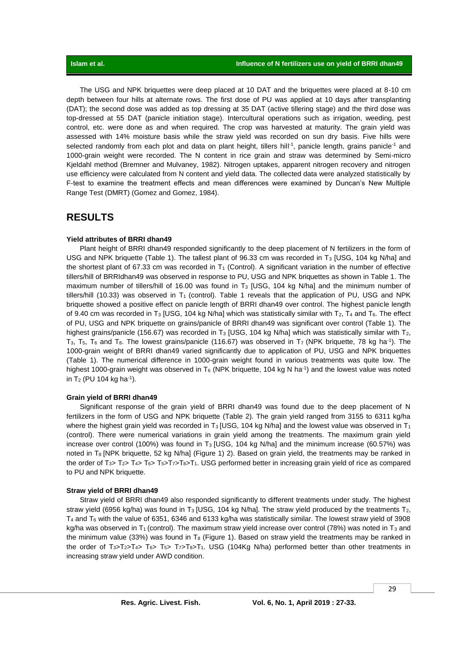The USG and NPK briquettes were deep placed at 10 DAT and the briquettes were placed at 8-10 cm depth between four hills at alternate rows. The first dose of PU was applied at 10 days after transplanting (DAT); the second dose was added as top dressing at 35 DAT (active tillering stage) and the third dose was top-dressed at 55 DAT (panicle initiation stage). Intercultural operations such as irrigation, weeding, pest control, etc. were done as and when required. The crop was harvested at maturity. The grain yield was assessed with 14% moisture basis while the straw yield was recorded on sun dry basis. Five hills were selected randomly from each plot and data on plant height, tillers hill<sup>-1</sup>, panicle length, grains panicle<sup>-1</sup> and 1000-grain weight were recorded. The N content in rice grain and straw was determined by Semi-micro Kjeldahl method (Bremner and Mulvaney, 1982). Nitrogen uptakes, apparent nitrogen recovery and nitrogen use efficiency were calculated from N content and yield data. The collected data were analyzed statistically by F-test to examine the treatment effects and mean differences were examined by Duncan's New Multiple Range Test (DMRT) (Gomez and Gomez, 1984).

# **RESULTS**

### **Yield attributes of BRRI dhan49**

Plant height of BRRI dhan49 responded significantly to the deep placement of N fertilizers in the form of USG and NPK briquette (Table 1). The tallest plant of 96.33 cm was recorded in T<sub>3</sub> [USG, 104 kg N/ha] and the shortest plant of 67.33 cm was recorded in  $T_1$  (Control). A significant variation in the number of effective tillers/hill of BRRIdhan49 was observed in response to PU, USG and NPK briquettes as shown in Table 1. The maximum number of tillers/hill of 16.00 was found in  $T_3$  [USG, 104 kg N/ha] and the minimum number of tillers/hill (10.33) was observed in  $T_1$  (control). Table 1 reveals that the application of PU, USG and NPK briquette showed a positive effect on panicle length of BRRI dhan49 over control. The highest panicle length of 9.40 cm was recorded in T<sub>3</sub> [USG, 104 kg N/ha] which was statistically similar with T<sub>2</sub>, T<sub>4</sub> and T<sub>6</sub>. The effect of PU, USG and NPK briquette on grains/panicle of BRRI dhan49 was significant over control (Table 1). The highest grains/panicle (156.67) was recorded in T<sub>3</sub> [USG, 104 kg N/ha] which was statistically similar with T<sub>2</sub>, T<sub>3</sub>, T<sub>5</sub>, T<sub>6</sub> and T<sub>8</sub>. The lowest grains/panicle (116.67) was observed in T<sub>7</sub> (NPK briquette, 78 kg ha<sup>-1</sup>). The 1000-grain weight of BRRI dhan49 varied significantly due to application of PU, USG and NPK briquettes (Table 1). The numerical difference in 1000-grain weight found in various treatments was quite low. The highest 1000-grain weight was observed in T<sub>6</sub> (NPK briquette, 104 kg N ha<sup>-1</sup>) and the lowest value was noted in T<sub>2</sub> (PU 104 kg ha<sup>-1</sup>).

#### **Grain yield of BRRI dhan49**

Significant response of the grain yield of BRRI dhan49 was found due to the deep placement of N fertilizers in the form of USG and NPK briquette (Table 2). The grain yield ranged from 3155 to 6311 kg/ha where the highest grain yield was recorded in T<sub>3</sub> [USG, 104 kg N/ha] and the lowest value was observed in T<sub>1</sub> (control). There were numerical variations in grain yield among the treatments. The maximum grain yield increase over control (100%) was found in  $T_3$  [USG, 104 kg N/ha] and the minimum increase (60.57%) was noted in T<sub>8</sub> [NPK briquette, 52 kg N/ha] (Figure 1) 2). Based on grain yield, the treatments may be ranked in the order of  $T_3$ >  $T_4$ >  $T_6$ >  $T_6$ > $T_7$ > $T_8$ > $T_1$ . USG performed better in increasing grain yield of rice as compared to PU and NPK briquette.

#### **Straw yield of BRRI dhan49**

Straw yield of BRRI dhan49 also responded significantly to different treatments under study. The highest straw yield (6956 kg/ha) was found in T<sub>3</sub> [USG, 104 kg N/ha]. The straw yield produced by the treatments T<sub>2</sub>,  $T_4$  and  $T_6$  with the value of 6351, 6346 and 6133 kg/ha was statistically similar. The lowest straw yield of 3908 kg/ha was observed in T<sub>1</sub> (control). The maximum straw yield increase over control (78%) was noted in T<sub>3</sub> and the minimum value (33%) was found in  $T_8$  (Figure 1). Based on straw yield the treatments may be ranked in the order of  $T_{3}$ > $T_{2}$ > $T_{4}$ > $T_{6}$ > $T_{5}$ > $T_{7}$  $T_{8}$ > $T_{1}$ . USG (104Kg N/ha) performed better than other treatments in increasing straw yield under AWD condition.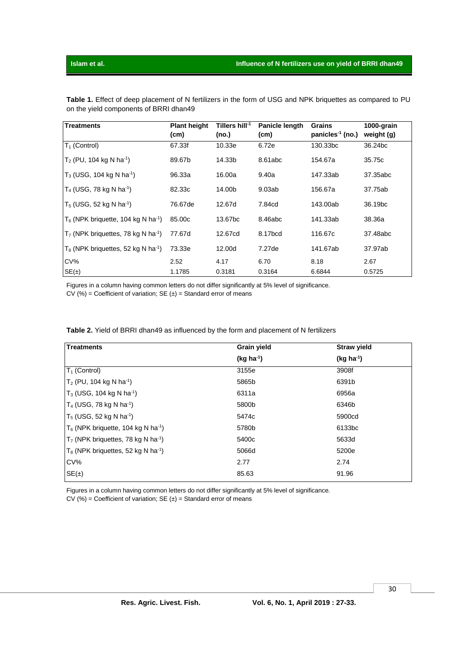| <b>Treatments</b>                                 | <b>Plant height</b><br>(cm) | Tillers hill $-1$<br>(no.) | Panicle length<br>(cm) | <b>Grains</b><br>panicles <sup>-1</sup> (no.) | 1000-grain<br>weight (g) |
|---------------------------------------------------|-----------------------------|----------------------------|------------------------|-----------------------------------------------|--------------------------|
| $T_1$ (Control)                                   | 67.33f                      | 10.33e                     | 6.72e                  | 130.33bc                                      | 36.24bc                  |
| $T_2$ (PU, 104 kg N ha <sup>-1</sup> )            | 89.67b                      | 14.33b                     | 8.61abc                | 154.67a                                       | 35.75c                   |
| $T_3$ (USG, 104 kg N ha <sup>-1</sup> )           | 96.33a                      | 16.00a                     | 9.40a                  | 147.33ab                                      | 37.35abc                 |
| $T_4$ (USG, 78 kg N ha <sup>-1</sup> )            | 82.33c                      | 14.00b                     | 9.03ab                 | 156.67a                                       | 37.75ab                  |
| $T_5$ (USG, 52 kg N ha <sup>-1</sup> )            | 76.67de                     | 12.67d                     | 7.84cd                 | 143.00ab                                      | 36.19 <sub>bc</sub>      |
| $T_6$ (NPK briquette, 104 kg N ha <sup>-1</sup> ) | 85.00c                      | 13.67bc                    | 8.46abc                | 141.33ab                                      | 38.36a                   |
| $T7$ (NPK briquettes, 78 kg N ha <sup>-1</sup> )  | 77.67d                      | 12.67cd                    | 8.17bcd                | 116.67c                                       | 37.48abc                 |
| $T_8$ (NPK briquettes, 52 kg N ha <sup>-1</sup> ) | 73.33e                      | 12.00d                     | 7.27de                 | 141.67ab                                      | 37.97ab                  |
| CV%                                               | 2.52                        | 4.17                       | 6.70                   | 8.18                                          | 2.67                     |
| SE(±)                                             | 1.1785                      | 0.3181                     | 0.3164                 | 6.6844                                        | 0.5725                   |

**Table 1.** Effect of deep placement of N fertilizers in the form of USG and NPK briquettes as compared to PU on the yield components of BRRI dhan49

Figures in a column having common letters do not differ significantly at 5% level of significance.

 $CV(%) = Coefficient of variation; SE( $\pm$ ) = Standard error of means$ 

| <b>Treatments</b>                                 | <b>Grain yield</b> | <b>Straw yield</b> |  |
|---------------------------------------------------|--------------------|--------------------|--|
|                                                   | $(kg ha-1)$        | $(kg ha-1)$        |  |
| $T_1$ (Control)                                   | 3155e              | 3908f              |  |
| $T_2$ (PU, 104 kg N ha <sup>-1</sup> )            | 5865b              | 6391b              |  |
| $T_3$ (USG, 104 kg N ha <sup>-1</sup> )           | 6311a              | 6956a              |  |
| $T_4$ (USG, 78 kg N ha <sup>-1</sup> )            | 5800b              | 6346b              |  |
| $T_5$ (USG, 52 kg N ha <sup>-1</sup> )            | 5474c              | 5900cd             |  |
| $T_6$ (NPK briquette, 104 kg N ha <sup>-1</sup> ) | 5780b              | 6133 <sub>bc</sub> |  |
| $T7$ (NPK briquettes, 78 kg N ha <sup>-1</sup> )  | 5400c              | 5633d              |  |
| $T_8$ (NPK briquettes, 52 kg N ha <sup>-1</sup> ) | 5066d              | 5200e              |  |
| CV%                                               | 2.77               | 2.74               |  |
| $SE(\pm)$                                         | 85.63              | 91.96              |  |

**Table 2.** Yield of BRRI dhan49 as influenced by the form and placement of N fertilizers

Figures in a column having common letters do not differ significantly at 5% level of significance.  $CV(%) = Coefficient of variation; SE( $\pm$ ) = Standard error of means$ 

30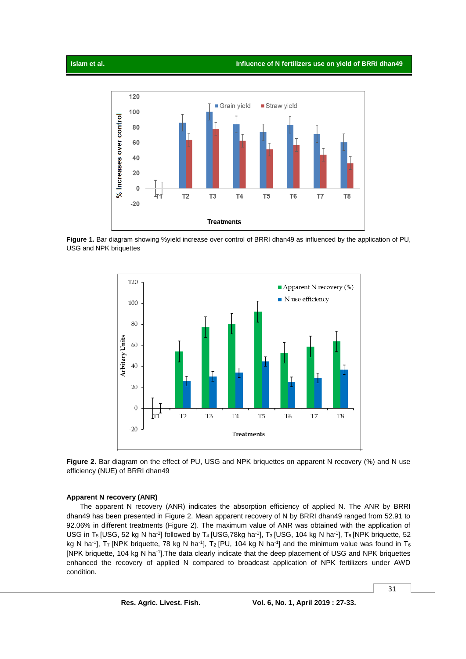

**Figure 1.** Bar diagram showing %yield increase over control of BRRI dhan49 as influenced by the application of PU, USG and NPK briquettes





### **Apparent N recovery (ANR)**

The apparent N recovery (ANR) indicates the absorption efficiency of applied N. The ANR by BRRI dhan49 has been presented in Figure 2. Mean apparent recovery of N by BRRI dhan49 ranged from 52.91 to 92.06% in different treatments (Figure 2). The maximum value of ANR was obtained with the application of USG in T<sub>5</sub> [USG, 52 kg N ha<sup>-1</sup>] followed by T<sub>4</sub> [USG,78kg ha<sup>-1</sup>], T<sub>3</sub> [USG, 104 kg N ha<sup>-1</sup>], T<sub>8</sub> [NPK briquette, 52 kg N ha<sup>-1</sup>], T<sub>7</sub> [NPK briquette, 78 kg N ha<sup>-1</sup>], T<sub>2</sub> [PU, 104 kg N ha<sup>-1</sup>] and the minimum value was found in T<sub>6</sub> [NPK briquette, 104 kg N ha<sup>-1</sup>]. The data clearly indicate that the deep placement of USG and NPK briquettes enhanced the recovery of applied N compared to broadcast application of NPK fertilizers under AWD condition.

31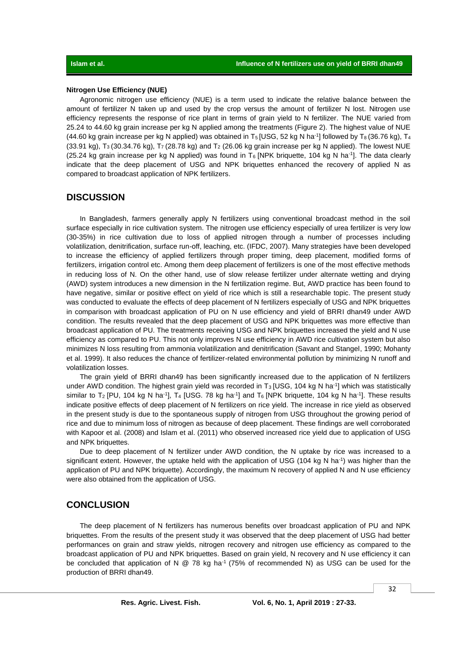#### **Nitrogen Use Efficiency (NUE)**

Agronomic nitrogen use efficiency (NUE) is a term used to indicate the relative balance between the amount of fertilizer N taken up and used by the crop versus the amount of fertilizer N lost. Nitrogen use efficiency represents the response of rice plant in terms of grain yield to N fertilizer. The NUE varied from 25.24 to 44.60 kg grain increase per kg N applied among the treatments (Figure 2). The highest value of NUE (44.60 kg grain increase per kg N applied) was obtained in T<sub>5</sub> [USG, 52 kg N ha<sup>-1</sup>] followed by T<sub>8</sub> (36.76 kg), T<sub>4</sub> (33.91 kg), T<sub>3</sub> (30.34.76 kg), T<sub>7</sub> (28.78 kg) and T<sub>2</sub> (26.06 kg grain increase per kg N applied). The lowest NUE (25.24 kg grain increase per kg N applied) was found in T<sub>6</sub> [NPK briquette, 104 kg N ha<sup>-1</sup>]. The data clearly indicate that the deep placement of USG and NPK briquettes enhanced the recovery of applied N as compared to broadcast application of NPK fertilizers.

## **DISCUSSION**

In Bangladesh, farmers generally apply N fertilizers using conventional broadcast method in the soil surface especially in rice cultivation system. The nitrogen use efficiency especially of urea fertilizer is very low (30-35%) in rice cultivation due to loss of applied nitrogen through a number of processes including volatilization, denitrification, surface run-off, leaching, etc. (IFDC, 2007). Many strategies have been developed to increase the efficiency of applied fertilizers through proper timing, deep placement, modified forms of fertilizers, irrigation control etc. Among them deep placement of fertilizers is one of the most effective methods in reducing loss of N. On the other hand, use of slow release fertilizer under alternate wetting and drying (AWD) system introduces a new dimension in the N fertilization regime. But, AWD practice has been found to have negative, similar or positive effect on yield of rice which is still a researchable topic. The present study was conducted to evaluate the effects of deep placement of N fertilizers especially of USG and NPK briquettes in comparison with broadcast application of PU on N use efficiency and yield of BRRI dhan49 under AWD condition. The results revealed that the deep placement of USG and NPK briquettes was more effective than broadcast application of PU. The treatments receiving USG and NPK briquettes increased the yield and N use efficiency as compared to PU. This not only improves N use efficiency in AWD rice cultivation system but also minimizes N loss resulting from ammonia volatilization and denitrification (Savant and Stangel, 1990; Mohanty et al. 1999). It also reduces the chance of fertilizer-related environmental pollution by minimizing N runoff and volatilization losses.

The grain yield of BRRI dhan49 has been significantly increased due to the application of N fertilizers under AWD condition. The highest grain yield was recorded in T<sub>3</sub> [USG, 104 kg N ha<sup>-1</sup>] which was statistically similar to T<sub>2</sub> [PU, 104 kg N ha<sup>-1</sup>], T<sub>4</sub> [USG. 78 kg ha<sup>-1</sup>] and T<sub>6</sub> [NPK briquette, 104 kg N ha<sup>-1</sup>]. These results indicate positive effects of deep placement of N fertilizers on rice yield. The increase in rice yield as observed in the present study is due to the spontaneous supply of nitrogen from USG throughout the growing period of rice and due to minimum loss of nitrogen as because of deep placement. These findings are well corroborated with Kapoor et al. (2008) and Islam et al. (2011) who observed increased rice yield due to application of USG and NPK briquettes.

Due to deep placement of N fertilizer under AWD condition, the N uptake by rice was increased to a significant extent. However, the uptake held with the application of USG (104 kg N ha<sup>-1</sup>) was higher than the application of PU and NPK briquette). Accordingly, the maximum N recovery of applied N and N use efficiency were also obtained from the application of USG.

## **CONCLUSION**

The deep placement of N fertilizers has numerous benefits over broadcast application of PU and NPK briquettes. From the results of the present study it was observed that the deep placement of USG had better performances on grain and straw yields, nitrogen recovery and nitrogen use efficiency as compared to the broadcast application of PU and NPK briquettes. Based on grain yield, N recovery and N use efficiency it can be concluded that application of N  $@$  78 kg ha<sup>-1</sup> (75% of recommended N) as USG can be used for the production of BRRI dhan49.

32